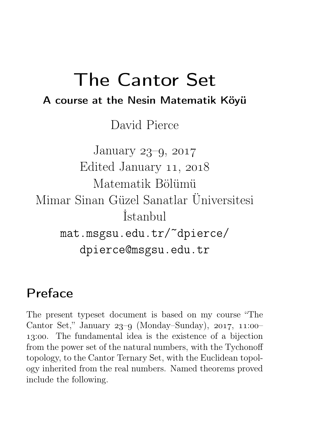# The Cantor Set A course at the Nesin Matematik Köyü

David Pierce

January 23–9, 2017 Edited January 11, 2018 Matematik Bölümü Mimar Sinan Güzel Sanatlar Üniversitesi İstanbul mat.msgsu.edu.tr/~dpierce/ dpierce@msgsu.edu.tr

# Preface

The present typeset document is based on my course "The Cantor Set," January  $23-9$  (Monday–Sunday),  $2017$ ,  $11:00-$ 13:00. The fundamental idea is the existence of a bijection from the power set of the natural numbers, with the Tychonoff topology, to the Cantor Ternary Set, with the Euclidean topology inherited from the real numbers. Named theorems proved include the following.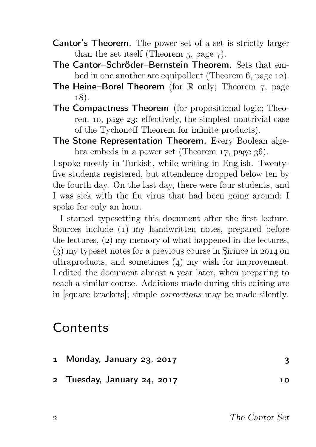- Cantor's Theorem. The power set of a set is strictly larger than the set itself (Theorem  $5$ , page  $7$ ).
- The Cantor–Schröder–Bernstein Theorem. Sets that embed in one another are equipollent (Theorem  $6$ , page 12).
- The Heine–Borel Theorem (for  $\mathbb R$  only; Theorem 7, page  $(18)$ .
- The Compactness Theorem (for propositional logic; Theorem 10, page 23: effectively, the simplest nontrivial case of the Tychonoff Theorem for infinite products).
- The Stone Representation Theorem. Every Boolean algebra embeds in a power set (Theorem  $17$ , page  $36$ ).

I spoke mostly in Turkish, while writing in English. Twentyfive students registered, but attendence dropped below ten by the fourth day. On the last day, there were four students, and I was sick with the flu virus that had been going around; I spoke for only an hour.

I started typesetting this document after the first lecture. Sources include (1) my handwritten notes, prepared before the lectures,  $(2)$  my memory of what happened in the lectures,  $(3)$  my typeset notes for a previous course in Sirince in 2014 on ultraproducts, and sometimes  $(4)$  my wish for improvement. I edited the document almost a year later, when preparing to teach a similar course. Additions made during this editing are in [square brackets]; simple corrections may be made silently.

### **Contents**

| 1 Monday, January 23, 2017  |    |
|-----------------------------|----|
| 2 Tuesday, January 24, 2017 | 10 |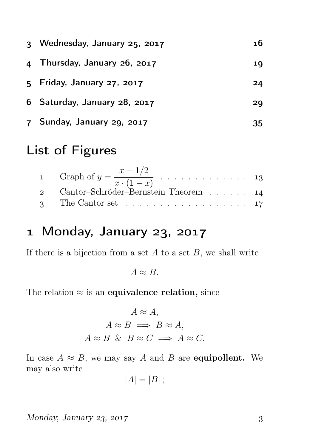| 3 Wednesday, January 25, 2017 | 16 |
|-------------------------------|----|
| 4 Thursday, January 26, 2017  | 19 |
| 5 Friday, January 27, 2017    | 24 |
| 6 Saturday, January 28, 2017  | 29 |
| 7 Sunday, January 29, 2017    | 35 |

# List of Figures

| 1 Graph of $y = \frac{x - 1/2}{x \cdot (1 - x)} \dots \dots \dots \dots \dots \dots \dots 13$ |  |
|-----------------------------------------------------------------------------------------------|--|
| 2 Cantor–Schröder–Bernstein Theorem 14                                                        |  |
| 3 The Cantor set 17                                                                           |  |

# 1 Monday, January 23, 2017

If there is a bijection from a set  $A$  to a set  $B$ , we shall write

 $A \approx B$ .

The relation  $\approx$  is an equivalence relation, since

$$
A \approx A,
$$
  
\n
$$
A \approx B \implies B \approx A,
$$
  
\n
$$
A \approx B \& B \approx C \implies A \approx C.
$$

In case  $A \approx B$ , we may say A and B are **equipollent.** We may also write

$$
|A|=|B|;
$$

 $Monday, January 23, 2017$  3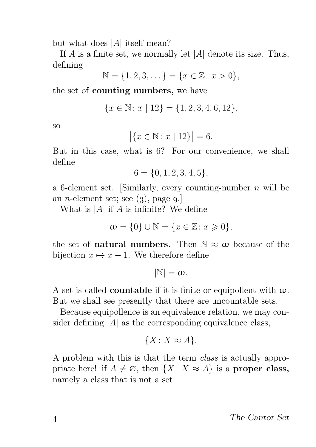but what does |A| itself mean?

If  $A$  is a finite set, we normally let  $|A|$  denote its size. Thus, defining

$$
\mathbb{N} = \{1, 2, 3, \dots\} = \{x \in \mathbb{Z} : x > 0\},\
$$

the set of counting numbers, we have

$$
\{x \in \mathbb{N} \colon x \mid 12\} = \{1, 2, 3, 4, 6, 12\},\
$$

so

$$
|\{x \in \mathbb{N} : x | 12\}| = 6.
$$

But in this case, what is 6? For our convenience, we shall define

$$
6 = \{0, 1, 2, 3, 4, 5\},\
$$

a 6-element set. [Similarly, every counting-number  $n$  will be an *n*-element set; see  $(3)$ , page  $9$ .

What is  $|A|$  if A is infinite? We define

$$
\mathbf{w} = \{0\} \cup \mathbb{N} = \{x \in \mathbb{Z} \colon x \geq 0\},\
$$

the set of **natural numbers.** Then  $\mathbb{N} \approx \omega$  because of the bijection  $x \mapsto x - 1$ . We therefore define

$$
|\mathbb{N}|=\omega.
$$

A set is called **countable** if it is finite or equipollent with  $\omega$ . But we shall see presently that there are uncountable sets.

Because equipollence is an equivalence relation, we may consider defining  $|A|$  as the corresponding equivalence class,

$$
\{X \colon X \approx A\}.
$$

A problem with this is that the term class is actually appropriate here! if  $A \neq \emptyset$ , then  $\{X : X \approx A\}$  is a proper class, namely a class that is not a set.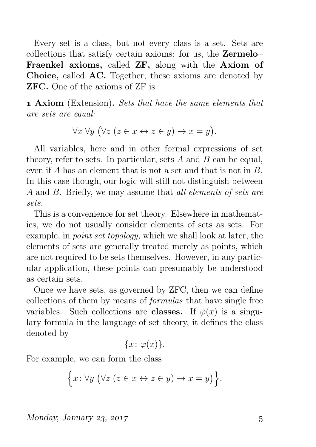Every set is a class, but not every class is a set. Sets are collections that satisfy certain axioms: for us, the Zermelo– Fraenkel axioms, called ZF, along with the Axiom of Choice, called AC. Together, these axioms are denoted by ZFC. One of the axioms of ZF is

 Axiom (Extension). Sets that have the same elements that are sets are equal:

$$
\forall x \,\forall y \, \big(\forall z \ (z \in x \leftrightarrow z \in y) \rightarrow x = y\big).
$$

All variables, here and in other formal expressions of set theory, refer to sets. In particular, sets  $A$  and  $B$  can be equal, even if A has an element that is not a set and that is not in B. In this case though, our logic will still not distinguish between A and B. Briefly, we may assume that all elements of sets are sets.

This is a convenience for set theory. Elsewhere in mathematics, we do not usually consider elements of sets as sets. For example, in point set topology, which we shall look at later, the elements of sets are generally treated merely as points, which are not required to be sets themselves. However, in any particular application, these points can presumably be understood as certain sets.

Once we have sets, as governed by ZFC, then we can define collections of them by means of formulas that have single free variables. Such collections are **classes.** If  $\varphi(x)$  is a singulary formula in the language of set theory, it defines the class denoted by

$$
\{x\colon\varphi(x)\}.
$$

For example, we can form the class

$$
\Big\{x\colon\forall y\ \big(\forall z\ (z\in x\leftrightarrow z\in y)\rightarrow x=y\big)\Big\}.
$$

 $Monday, January 23, 2017$   $5$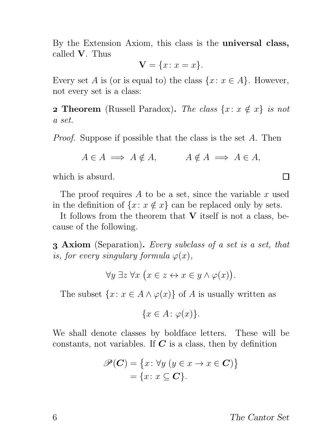By the Extension Axiom, this class is the universal class, called V. Thus

$$
\mathbf{V} = \{x \colon x = x\}.
$$

Every set A is (or is equal to) the class  $\{x: x \in A\}$ . However, not every set is a class:

**2 Theorem** (Russell Paradox). The class  $\{x: x \notin x\}$  is not a set.

Proof. Suppose if possible that the class is the set A. Then

$$
A \in A \implies A \notin A, \qquad A \notin A \implies A \in A,
$$

which is absurd.

The proof requires  $A$  to be a set, since the variable  $x$  used in the definition of  $\{x: x \notin x\}$  can be replaced only by sets.

It follows from the theorem that  $V$  itself is not a class, because of the following.

**3 Axiom** (Separation). Every subclass of a set is a set, that is, for every singulary formula  $\varphi(x)$ ,

$$
\forall y \; \exists z \; \forall x \; \big(x \in z \leftrightarrow x \in y \land \varphi(x)\big).
$$

The subset  $\{x: x \in A \land \varphi(x)\}\$  of A is usually written as

$$
\{x \in A \colon \varphi(x)\}.
$$

We shall denote classes by boldface letters. These will be constants, not variables. If  $C$  is a class, then by definition

$$
\mathscr{P}(\mathbf{C}) = \{x \colon \forall y \ (y \in x \to x \in \mathbf{C})\}
$$

$$
= \{x \colon x \subseteq \mathbf{C}\}.
$$

The Cantor Set

 $\Box$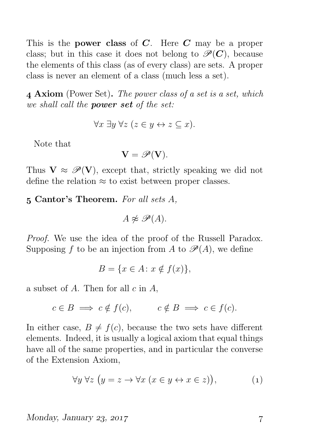This is the **power class** of  $C$ . Here  $C$  may be a proper class; but in this case it does not belong to  $\mathcal{P}(C)$ , because the elements of this class (as of every class) are sets. A proper class is never an element of a class (much less a set).

 Axiom (Power Set). The power class of a set is a set, which we shall call the **power set** of the set:

$$
\forall x \; \exists y \; \forall z \; (z \in y \leftrightarrow z \subseteq x).
$$

Note that

$$
\mathbf{V} = \mathscr{P}(\mathbf{V}).
$$

Thus  $V \approx \mathcal{P}(V)$ , except that, strictly speaking we did not define the relation  $\approx$  to exist between proper classes.

Cantor's Theorem. For all sets A,

 $A \not\approx \mathscr{P}(A)$ .

Proof. We use the idea of the proof of the Russell Paradox. Supposing f to be an injection from A to  $\mathscr{P}(A)$ , we define

$$
B = \{ x \in A \colon x \notin f(x) \},
$$

a subset of  $A$ . Then for all  $c$  in  $A$ ,

$$
c \in B \implies c \notin f(c), \qquad c \notin B \implies c \in f(c).
$$

In either case,  $B \neq f(c)$ , because the two sets have different elements. Indeed, it is usually a logical axiom that equal things have all of the same properties, and in particular the converse of the Extension Axiom,

$$
\forall y \,\forall z \,\big(y = z \to \forall x \,\big(x \in y \leftrightarrow x \in z\big)\big),\tag{1}
$$

 $M$ onday, January 23, 2017  $\frac{1}{7}$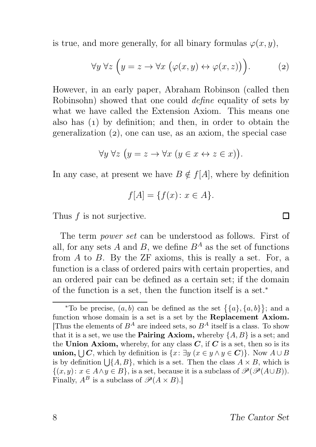is true, and more generally, for all binary formulas  $\varphi(x, y)$ ,

$$
\forall y \ \forall z \ \left( y = z \to \forall x \ \left( \varphi(x, y) \leftrightarrow \varphi(x, z) \right) \right). \tag{2}
$$

However, in an early paper, Abraham Robinson (called then Robinsohn) showed that one could *define* equality of sets by what we have called the Extension Axiom. This means one also has  $(1)$  by definition; and then, in order to obtain the generalization  $(2)$ , one can use, as an axiom, the special case

$$
\forall y \ \forall z \ \big( y = z \rightarrow \forall x \ \big( y \in x \leftrightarrow z \in x \big) \big).
$$

In any case, at present we have  $B \notin f[A]$ , where by definition

$$
f[A] = \{f(x) \colon x \in A\}.
$$

Thus  $f$  is not surjective.

The term power set can be understood as follows. First of all, for any sets A and B, we define  $B^A$  as the set of functions from  $A$  to  $B$ . By the  $ZF$  axioms, this is really a set. For, a function is a class of ordered pairs with certain properties, and an ordered pair can be defined as a certain set; if the domain of the function is a set, then the function itself is a set.<sup>∗</sup>

 $\Box$ 

<sup>\*</sup>To be precise,  $(a, b)$  can be defined as the set  $\{\{a\}, \{a, b\}\};$  and a function whose domain is a set is a set by the Replacement Axiom. [Thus the elements of  $B^A$  are indeed sets, so  $B^A$  itself is a class. To show that it is a set, we use the **Pairing Axiom**, whereby  $\{A, B\}$  is a set; and the Union Axiom, whereby, for any class  $C$ , if  $C$  is a set, then so is its **union,**  $\bigcup \mathbf{C}$ , which by definition is  $\{x: \exists y \ (x \in y \land y \in \mathbf{C})\}$ . Now  $A \cup B$ is by definition  $\bigcup \{A, B\}$ , which is a set. Then the class  $A \times B$ , which is  $\{(x, y): x \in A \land y \in B\}$ , is a set, because it is a subclass of  $\mathcal{P}(\mathcal{P}(A \cup B))$ . Finally,  $A^B$  is a subclass of  $\mathscr{P}(A \times B)$ .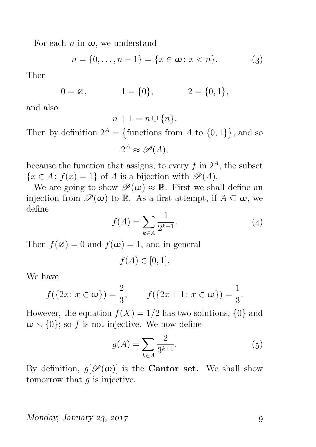For each n in  $\omega$ , we understand

$$
n = \{0, \dots, n - 1\} = \{x \in \omega : x < n\}.\tag{3}
$$

Then

$$
0 = \varnothing, \qquad \qquad 1 = \{0\}, \qquad \qquad 2 = \{0, 1\},
$$

and also

$$
n+1=n\cup\{n\}.
$$

Then by definition  $2^A = \{\text{functions from } A \text{ to } \{0,1\}\}\,$  and so

$$
2^A \approx \mathscr{P}(A),
$$

because the function that assigns, to every  $f$  in  $2<sup>A</sup>$ , the subset  ${x \in A: f(x) = 1}$  of A is a bijection with  $\mathscr{P}(A)$ .

We are going to show  $\mathscr{P}(\omega) \approx \mathbb{R}$ . First we shall define an injection from  $\mathscr{P}(\omega)$  to R. As a first attempt, if  $A \subseteq \omega$ , we define

$$
f(A) = \sum_{k \in A} \frac{1}{2^{k+1}}.\tag{4}
$$

Then  $f(\emptyset) = 0$  and  $f(\omega) = 1$ , and in general

$$
f(A) \in [0,1].
$$

We have

$$
f({2x : x \in \omega}) = \frac{2}{3},
$$
  $f({2x + 1 : x \in \omega}) = \frac{1}{3}.$ 

However, the equation  $f(X) = 1/2$  has two solutions,  $\{0\}$  and  $\omega \setminus \{0\}$ ; so f is not injective. We now define

$$
g(A) = \sum_{k \in A} \frac{2}{3^{k+1}}.\tag{5}
$$

By definition,  $g[\mathscr{P}(\omega)]$  is the **Cantor set.** We shall show tomorrow that  $q$  is injective.

#### $Monday, January 23, 2017$  9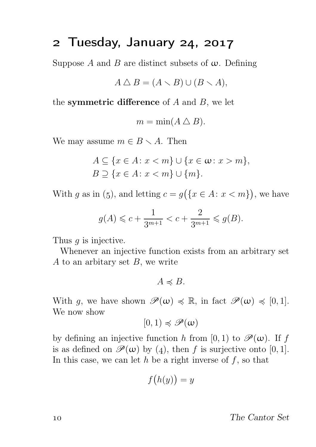# 2 Tuesday, January 24, 2017

Suppose A and B are distinct subsets of  $\omega$ . Defining

$$
A \bigtriangleup B = (A \setminus B) \cup (B \setminus A),
$$

the symmetric difference of  $A$  and  $B$ , we let

$$
m = \min(A \bigtriangleup B).
$$

We may assume  $m \in B \setminus A$ . Then

$$
A \subseteq \{x \in A : x < m\} \cup \{x \in \omega : x > m\},\
$$
\n
$$
B \supseteq \{x \in A : x < m\} \cup \{m\}.
$$

With g as in (5), and letting  $c = g(\lbrace x \in A : x < m \rbrace)$ , we have

$$
g(A) \leq c + \frac{1}{3^{m+1}} < c + \frac{2}{3^{m+1}} \leq g(B).
$$

Thus *q* is injective.

Whenever an injective function exists from an arbitrary set A to an arbitary set  $B$ , we write

 $A \preccurlyeq B$ .

With g, we have shown  $\mathscr{P}(\omega) \preccurlyeq \mathbb{R}$ , in fact  $\mathscr{P}(\omega) \preccurlyeq [0, 1].$ We now show

$$
[0,1) \preccurlyeq \mathscr{P}(\omega)
$$

by defining an injective function h from [0, 1) to  $\mathscr{P}(\omega)$ . If f is as defined on  $\mathscr{P}(\omega)$  by (4), then f is surjective onto [0, 1]. In this case, we can let  $h$  be a right inverse of  $f$ , so that

$$
f\big(h(y)\big) = y
$$

The Cantor Set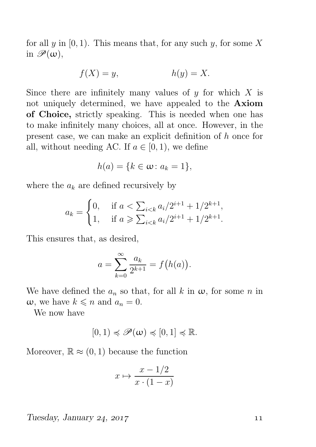for all y in  $[0, 1)$ . This means that, for any such y, for some X in  $\mathscr{P}(\omega)$ ,

$$
f(X) = y, \qquad h(y) = X.
$$

Since there are infinitely many values of  $y$  for which  $X$  is not uniquely determined, we have appealed to the Axiom of Choice, strictly speaking. This is needed when one has to make infinitely many choices, all at once. However, in the present case, we can make an explicit definition of h once for all, without needing AC. If  $a \in [0, 1)$ , we define

$$
h(a) = \{k \in \omega \colon a_k = 1\},\
$$

where the  $a_k$  are defined recursively by

$$
a_k = \begin{cases} 0, & \text{if } a < \sum_{i < k} a_i / 2^{i+1} + 1 / 2^{k+1}, \\ 1, & \text{if } a \geqslant \sum_{i < k} a_i / 2^{i+1} + 1 / 2^{k+1}. \end{cases}
$$

This ensures that, as desired,

$$
a = \sum_{k=0}^{\infty} \frac{a_k}{2^{k+1}} = f(h(a)).
$$

We have defined the  $a_n$  so that, for all k in  $\omega$ , for some n in  $\omega$ , we have  $k \leq n$  and  $a_n = 0$ .

We now have

$$
[0,1)\preccurlyeq \mathscr{P}(\omega) \preccurlyeq [0,1]\preccurlyeq \mathbb{R}.
$$

Moreover,  $\mathbb{R} \approx (0, 1)$  because the function

$$
x \mapsto \frac{x - 1/2}{x \cdot (1 - x)}
$$

 $Tuesday, January 24, 2017$  11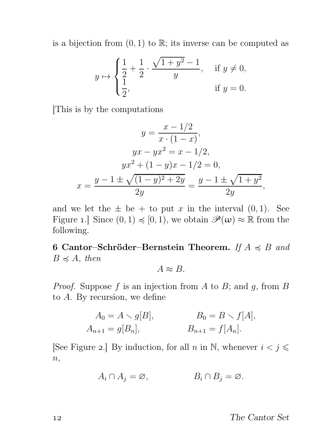is a bijection from  $(0, 1)$  to  $\mathbb{R}$ ; its inverse can be computed as

$$
y \mapsto \begin{cases} \frac{1}{2} + \frac{1}{2} \cdot \frac{\sqrt{1 + y^2} - 1}{y}, & \text{if } y \neq 0, \\ \frac{1}{2}, & \text{if } y = 0. \end{cases}
$$

[This is by the computations

$$
y = \frac{x - 1/2}{x \cdot (1 - x)},
$$
  
\n
$$
yx - yx^2 = x - 1/2,
$$
  
\n
$$
yx^2 + (1 - y)x - 1/2 = 0,
$$
  
\n
$$
x = \frac{y - 1 \pm \sqrt{(1 - y)^2 + 2y}}{2y} = \frac{y - 1 \pm \sqrt{1 + y^2}}{2y},
$$

and we let the  $\pm$  be  $+$  to put x in the interval  $(0, 1)$ . See Figure 1.] Since  $(0, 1) \preccurlyeq (0, 1)$ , we obtain  $\mathscr{P}(\omega) \approx \mathbb{R}$  from the following.

6 Cantor–Schröder–Bernstein Theorem. If  $A \preccurlyeq B$  and  $B \preccurlyeq A$ , then

 $A \approx B$ .

*Proof.* Suppose  $f$  is an injection from  $A$  to  $B$ ; and  $g$ , from  $B$ to A. By recursion, we define

$$
A_0 = A \setminus g[B],
$$
  $B_0 = B \setminus f[A],$   
\n $A_{n+1} = g[B_n],$   $B_{n+1} = f[A_n].$ 

[See Figure 2.] By induction, for all  $n$  in N, whenever  $i < j \leq$  $n,$ 

$$
A_i \cap A_j = \varnothing, \qquad B_i \cap B_j = \varnothing.
$$

The Cantor Set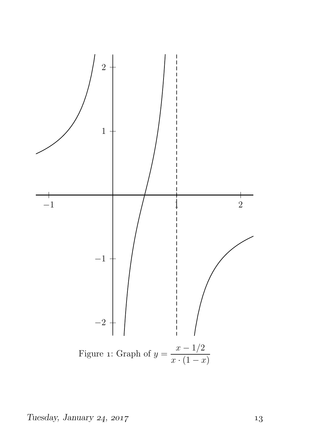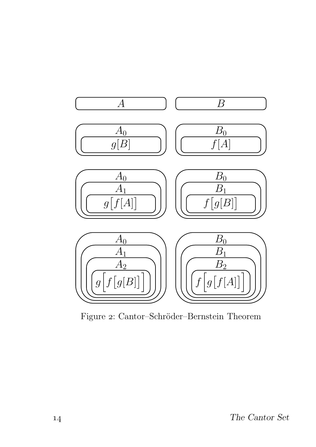

Figure 2: Cantor–Schröder–Bernstein Theorem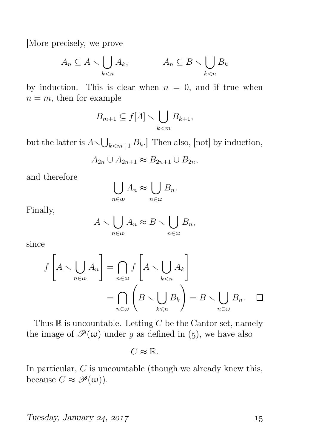[More precisely, we prove

$$
A_n \subseteq A \setminus \bigcup_{k < n} A_k, \qquad A_n \subseteq B \setminus \bigcup_{k < n} B_k
$$

by induction. This is clear when  $n = 0$ , and if true when  $n = m$ , then for example

$$
B_{m+1} \subseteq f[A] \setminus \bigcup_{k < m} B_{k+1},
$$

but the latter is  $A \setminus \bigcup_{k < m+1} B_k$ . Then also, [not] by induction,

$$
A_{2n} \cup A_{2n+1} \approx B_{2n+1} \cup B_{2n},
$$

and therefore

$$
\bigcup_{n\in\omega}A_n\approx\bigcup_{n\in\omega}B_n.
$$

Finally,

$$
A \setminus \bigcup_{n \in \omega} A_n \approx B \setminus \bigcup_{n \in \omega} B_n,
$$

since

$$
f\left[A \setminus \bigcup_{n \in \omega} A_n\right] = \bigcap_{n \in \omega} f\left[A \setminus \bigcup_{k < n} A_k\right]
$$

$$
= \bigcap_{n \in \omega} \left(B \setminus \bigcup_{k \le n} B_k\right) = B \setminus \bigcup_{n \in \omega} B_n. \quad \Box
$$

Thus  $\mathbb R$  is uncountable. Letting C be the Cantor set, namely the image of  $\mathscr{P}(\omega)$  under g as defined in (5), we have also

$$
C\approx\mathbb{R}.
$$

In particular,  $C$  is uncountable (though we already knew this, because  $C \approx \mathscr{P}(\omega)$ .

Tuesday, January 24, 2017  $15$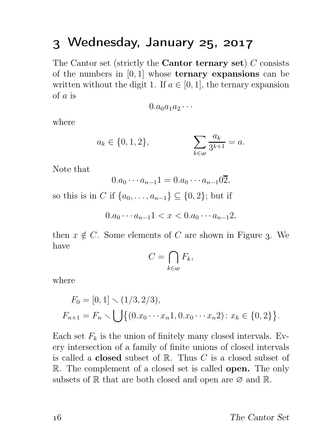# 3 Wednesday, January 25, 2017

The Cantor set (strictly the **Cantor ternary set**)  $C$  consists of the numbers in  $[0, 1]$  whose **ternary expansions** can be written without the digit 1. If  $a \in [0, 1]$ , the ternary expansion of a is

$$
0.a_0a_1a_2\cdots
$$

where

$$
a_k \in \{0, 1, 2\},
$$
 
$$
\sum_{k \in \omega} \frac{a_k}{3^{k+1}} = a.
$$

Note that

$$
0.a_0 \cdots a_{n-1}1 = 0.a_0 \cdots a_{n-1}0\overline{2},
$$

so this is in C if  $\{a_0, \ldots, a_{n-1}\} \subseteq \{0, 2\}$ ; but if

$$
0.a_0 \cdots a_{n-1}1 < x < 0.a_0 \cdots a_{n-1}2,
$$

then  $x \notin C$ . Some elements of C are shown in Figure 3. We have

$$
C=\bigcap_{k\in\omega}F_k,
$$

where

$$
F_0 = [0, 1] \setminus (1/3, 2/3),
$$
  
\n
$$
F_{n+1} = F_n \setminus \bigcup \{ (0.x_0 \cdots x_n 1, 0.x_0 \cdots x_n 2) : x_k \in \{0, 2\} \}.
$$

Each set  $F_k$  is the union of finitely many closed intervals. Every intersection of a family of finite unions of closed intervals is called a **closed** subset of  $\mathbb{R}$ . Thus C is a closed subset of R. The complement of a closed set is called **open.** The only subsets of  $\mathbb R$  that are both closed and open are  $\emptyset$  and  $\mathbb R$ .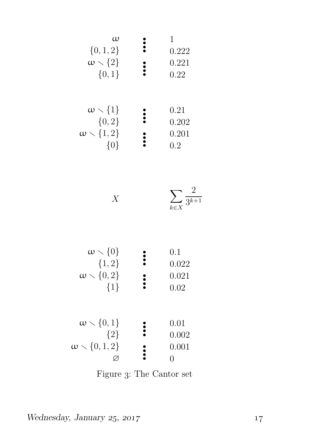| $\omega$                   | 1     |
|----------------------------|-------|
| $\{0,1,2\}$                | 222   |
| $\omega \setminus \{2\}$   | 0.222 |
| $\{0,1\}$                  | 0.221 |
| $\{\omega \setminus \{1\}$ | 0.22  |
| $\{\omega,2\}$             | 0.22  |
| $\omega \setminus \{1,2\}$ | 0.202 |
| $\omega \setminus \{1,2\}$ | 0.201 |
| $\{0\}$                    | 0.2   |

| $\leftharpoonup3^{k+1}$<br>$k \in X$ |  |
|--------------------------------------|--|

| $\omega \setminus \{0\}$<br>${1,2}$<br>$\omega \setminus \{0,2\}$<br>$\{1\}$ | 0.1<br>0.022<br>0.021<br>0.02 |
|------------------------------------------------------------------------------|-------------------------------|
| $\omega \setminus \{0,1\}$<br>${2}$<br>$\omega \setminus \{0,1,2\}$          | 0.01<br>0.002<br>0.001        |

Figure 3: The Cantor set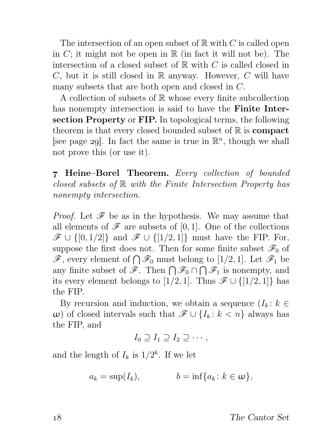The intersection of an open subset of  $\mathbb R$  with C is called open in  $C$ ; it might not be open in  $\mathbb R$  (in fact it will not be). The intersection of a closed subset of  $\mathbb R$  with C is called closed in  $C$ , but it is still closed in  $\mathbb R$  anyway. However,  $C$  will have many subsets that are both open and closed in C.

A collection of subsets of  $\mathbb R$  whose every finite subcollection has nonempty intersection is said to have the **Finite Inter**section Property or FIP. In topological terms, the following theorem is that every closed bounded subset of  $\mathbb R$  is **compact** [see page 29]. In fact the same is true in  $\mathbb{R}^n$ , though we shall not prove this (or use it).

 Heine–Borel Theorem. Every collection of bounded closed subsets of  $\mathbb R$  with the Finite Intersection Property has nonempty intersection.

*Proof.* Let  $\mathscr F$  be as in the hypothesis. We may assume that all elements of  $\mathscr F$  are subsets of [0, 1]. One of the collections  $\mathscr{F} \cup \{[0,1/2]\}$  and  $\mathscr{F} \cup \{[1/2,1]\}$  must have the FIP. For, suppose the first does not. Then for some finite subset  $\mathscr{F}_0$  of  $\mathscr{F}$ , every element of  $\bigcap \mathscr{F}_0$  must belong to [1/2, 1]. Let  $\mathscr{F}_1$  be any finite subset of  $\mathscr{F}$ . Then  $\bigcap \mathscr{F}_0 \cap \bigcap \mathscr{F}_1$  is nonempty, and its every element belongs to [1/2, 1]. Thus  $\mathscr{F} \cup \{[1/2, 1]\}$  has the FIP.

By recursion and induction, we obtain a sequence  $(I_k: k \in$ ω) of closed intervals such that  $\mathcal{F} ∪ \{I_k : k < n\}$  always has the FIP, and

$$
I_0 \supseteq I_1 \supseteq I_2 \supseteq \cdots,
$$

and the length of  $I_k$  is  $1/2^k$ . If we let

$$
a_k = \sup(I_k), \qquad b = \inf\{a_k : k \in \omega\},\
$$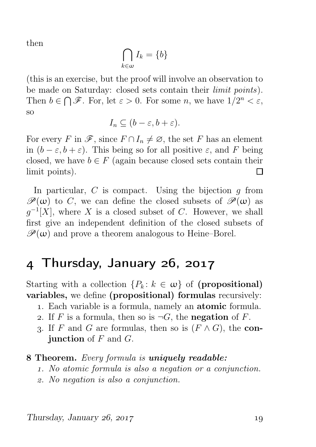then

$$
\bigcap_{k\in\omega}I_k=\{b\}
$$

(this is an exercise, but the proof will involve an observation to be made on Saturday: closed sets contain their *limit points*). Then  $b \in \bigcap \mathscr{F}$ . For, let  $\varepsilon > 0$ . For some n, we have  $1/2^n < \varepsilon$ , so

$$
I_n \subseteq (b - \varepsilon, b + \varepsilon).
$$

For every F in  $\mathscr{F}$ , since  $F \cap I_n \neq \emptyset$ , the set F has an element in  $(b - \varepsilon, b + \varepsilon)$ . This being so for all positive  $\varepsilon$ , and F being closed, we have  $b \in F$  (again because closed sets contain their limit points). П

In particular,  $C$  is compact. Using the bijection  $q$  from  $\mathscr{P}(\omega)$  to C, we can define the closed subsets of  $\mathscr{P}(\omega)$  as  $g^{-1}[X]$ , where X is a closed subset of C. However, we shall first give an independent definition of the closed subsets of  $\mathscr{P}(\omega)$  and prove a theorem analogous to Heine–Borel.

# 4 Thursday, January 26, 2017

Starting with a collection  $\{P_k: k \in \omega\}$  of (propositional) variables, we define (propositional) formulas recursively:

- . Each variable is a formula, namely an atomic formula.
- 2. If F is a formula, then so is  $\neg G$ , the negation of F.
- 3. If F and G are formulas, then so is  $(F \wedge G)$ , the con**junction** of  $F$  and  $G$ .

#### **8 Theorem.** Every formula is **uniquely readable:**

- . No atomic formula is also a negation or a conjunction.
- . No negation is also a conjunction.

Thursday, January  $26$ ,  $2017$  19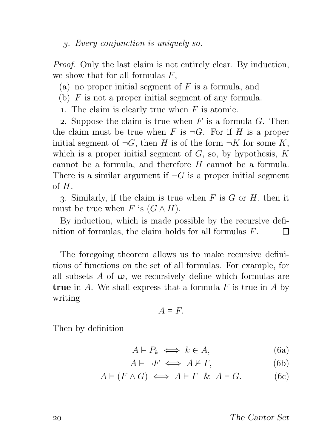. Every conjunction is uniquely so.

Proof. Only the last claim is not entirely clear. By induction, we show that for all formulas  $F$ ,

(a) no proper initial segment of  $F$  is a formula, and

- (b)  $F$  is not a proper initial segment of any formula.
- 1. The claim is clearly true when  $F$  is atomic.

2. Suppose the claim is true when  $F$  is a formula  $G$ . Then the claim must be true when F is  $\neg G$ . For if H is a proper initial segment of  $\neg G$ , then H is of the form  $\neg K$  for some K, which is a proper initial segment of  $G$ , so, by hypothesis,  $K$ cannot be a formula, and therefore H cannot be a formula. There is a similar argument if  $\neg G$  is a proper initial segment of  $H$ .

3. Similarly, if the claim is true when  $F$  is  $G$  or  $H$ , then it must be true when F is  $(G \wedge H)$ .

By induction, which is made possible by the recursive definition of formulas, the claim holds for all formulas F. П

The foregoing theorem allows us to make recursive definitions of functions on the set of all formulas. For example, for all subsets A of  $\omega$ , we recursively define which formulas are **true** in A. We shall express that a formula  $F$  is true in A by writing

 $A \models F$ .

Then by definition

$$
A \vDash P_k \iff k \in A,\tag{6a}
$$

$$
A \models \neg F \iff A \not\models F,\tag{6b}
$$

$$
A \models (F \land G) \iff A \models F \And A \models G. \tag{6c}
$$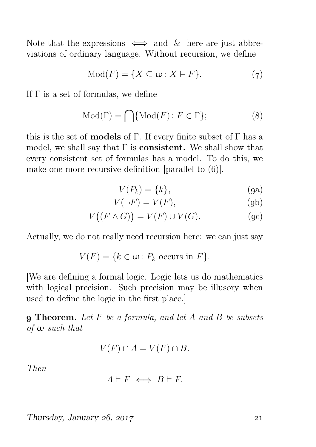Note that the expressions  $\iff$  and  $\&$  here are just abbreviations of ordinary language. Without recursion, we define

$$
Mod(F) = \{ X \subseteq \omega : X \models F \}.
$$
 (7)

If  $\Gamma$  is a set of formulas, we define

$$
Mod(\Gamma) = \bigcap \{ Mod(F) \colon F \in \Gamma \};\tag{8}
$$

this is the set of **models** of Γ. If every finite subset of Γ has a model, we shall say that  $\Gamma$  is **consistent.** We shall show that every consistent set of formulas has a model. To do this, we make one more recursive definition [parallel to  $(6)$ ].

$$
V(P_k) = \{k\},\tag{9a}
$$

$$
V(\neg F) = V(F),\tag{9b}
$$

$$
V((F \wedge G)) = V(F) \cup V(G).
$$
 (gc)

Actually, we do not really need recursion here: we can just say

$$
V(F) = \{k \in \omega \colon P_k \text{ occurs in } F\}.
$$

[We are defining a formal logic. Logic lets us do mathematics with logical precision. Such precision may be illusory when used to define the logic in the first place.]

**9 Theorem.** Let  $F$  be a formula, and let  $A$  and  $B$  be subsets of ω such that

$$
V(F) \cap A = V(F) \cap B.
$$

Then

$$
A \vDash F \iff B \vDash F.
$$

 $Thursday, January 26, 2017$  21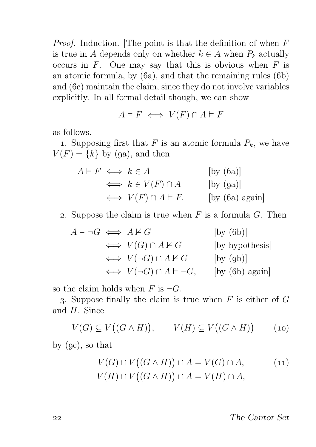*Proof.* Induction. The point is that the definition of when  $F$ is true in A depends only on whether  $k \in A$  when  $P_k$  actually occurs in  $F$ . One may say that this is obvious when  $F$  is an atomic formula, by  $(6a)$ , and that the remaining rules  $(6b)$ and  $(6c)$  maintain the claim, since they do not involve variables explicitly. In all formal detail though, we can show

$$
A \vDash F \iff V(F) \cap A \vDash F
$$

as follows.

1. Supposing first that F is an atomic formula  $P_k$ , we have  $V(F) = \{k\}$  by (9a), and then

$$
A \vDash F \iff k \in A \qquad \text{[by (6a)]}
$$
  
\n
$$
\iff k \in V(F) \cap A \qquad \text{[by (9a)]}
$$
  
\n
$$
\iff V(F) \cap A \vDash F. \qquad \text{[by (6a) again]}
$$

2. Suppose the claim is true when  $F$  is a formula  $G$ . Then

$$
A \vDash \neg G \iff A \nvDash G \qquad \qquad [\text{by (6b)}]
$$
  
\n
$$
\iff V(G) \cap A \nvDash G \qquad \qquad [\text{by hypothesis}]
$$
  
\n
$$
\iff V(\neg G) \cap A \nvDash G \qquad \qquad [\text{by (9b)}]
$$
  
\n
$$
\iff V(\neg G) \cap A \vDash \neg G, \qquad [\text{by (6b) again}]
$$

so the claim holds when F is  $\neg G$ .

3. Suppose finally the claim is true when  $F$  is either of  $G$ and H. Since

$$
V(G) \subseteq V((G \wedge H)), \qquad V(H) \subseteq V((G \wedge H)) \qquad (10)
$$

by  $(gc)$ , so that

$$
V(G) \cap V((G \wedge H)) \cap A = V(G) \cap A, \qquad (11)
$$
  

$$
V(H) \cap V((G \wedge H)) \cap A = V(H) \cap A,
$$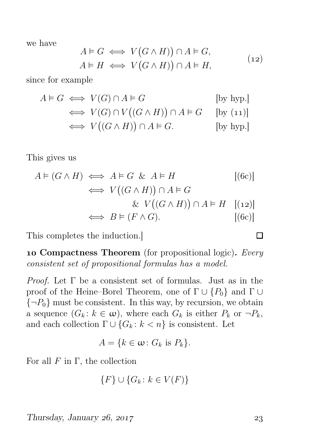we have

$$
A \models G \iff V(G \land H)) \cap A \models G,
$$
  

$$
A \models H \iff V(G \land H)) \cap A \models H,
$$
 (12)

since for example

$$
A \models G \iff V(G) \cap A \models G \qquad \qquad [\text{by hyp.}]
$$
  
\n
$$
\iff V(G) \cap V((G \land H)) \cap A \models G \qquad \qquad [\text{by (11)}]
$$
  
\n
$$
\iff V((G \land H)) \cap A \models G. \qquad \qquad [\text{by hyp.}]
$$

This gives us

$$
A \models (G \land H) \iff A \models G \& A \models H \qquad [(6c)]
$$
  
\n
$$
\iff V((G \land H)) \cap A \models G
$$
  
\n
$$
\iff V((G \land H)) \cap A \models H \quad [(12)]
$$
  
\n
$$
\iff B \models (F \land G). \qquad [(6c)]
$$

This completes the induction.]

10 Compactness Theorem (for propositional logic). Every consistent set of propositional formulas has a model.

*Proof.* Let  $\Gamma$  be a consistent set of formulas. Just as in the proof of the Heine–Borel Theorem, one of  $\Gamma \cup \{P_0\}$  and  $\Gamma \cup$  ${\lbrace \neg P_0 \rbrace}$  must be consistent. In this way, by recursion, we obtain a sequence  $(G_k: k \in \omega)$ , where each  $G_k$  is either  $P_k$  or  $\neg P_k$ , and each collection  $\Gamma \cup \{G_k : k < n\}$  is consistent. Let

$$
A = \{k \in \omega \colon G_k \text{ is } P_k\}.
$$

For all  $F$  in  $\Gamma$ , the collection

$$
\{F\} \cup \{G_k \colon k \in V(F)\}
$$

Thursday, January  $26$ ,  $2017$   $23$ 

 $\Box$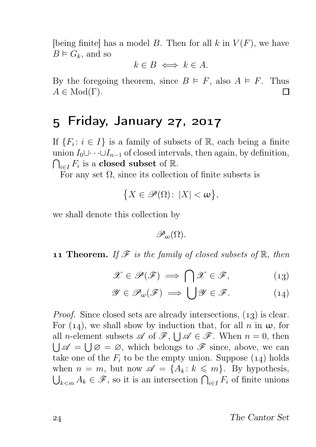[being finite] has a model B. Then for all k in  $V(F)$ , we have  $B \vDash G_k$ , and so

$$
k \in B \iff k \in A.
$$

By the foregoing theorem, since  $B \vDash F$ , also  $A \vDash F$ . Thus  $A \in Mod(\Gamma)$ .  $\Box$ 

#### 5 Friday, January 27, 2017

If  $\{F_i: i \in I\}$  is a family of subsets of R, each being a finite union  $I_0 \cup \cdots \cup I_{n-1}$  of closed intervals, then again, by definition,  $\bigcap_{i\in I} F_i$  is a **closed subset** of  $\mathbb{R}$ .

For any set  $\Omega$ , since its collection of finite subsets is

$$
\big\{X\in\mathscr{P}(\Omega)\colon\,|X|<\omega\big\},\
$$

we shall denote this collection by

 $\mathscr{P}_m(\Omega)$ .

**11 Theorem.** If  $\mathscr F$  is the family of closed subsets of  $\mathbb R$ , then

$$
\mathscr{X} \in \mathscr{P}(\mathscr{F}) \implies \bigcap \mathscr{X} \in \mathscr{F}, \tag{13}
$$

$$
\mathscr{Y} \in \mathscr{P}_{\omega}(\mathscr{F}) \implies \bigcup \mathscr{Y} \in \mathscr{F}.\tag{14}
$$

*Proof.* Since closed sets are already intersections,  $(13)$  is clear. For (14), we shall show by induction that, for all n in  $\omega$ , for all *n*-element subsets  $\mathscr A$  of  $\mathscr F$ ,  $\bigcup \mathscr A \in \mathscr F$ . When  $n = 0$ , then  $\bigcup \mathscr{A} = \bigcup \varnothing = \varnothing$ , which belongs to  $\mathscr{F}$  since, above, we can take one of the  $F_i$  to be the empty union. Suppose  $(14)$  holds when  $n = m$ , but now  $\mathscr{A} = \{A_k : k \leq m\}$ . By hypothesis,  $\bigcup_{k \leq m} A_k \in \mathscr{F}$ , so it is an intersection  $\bigcap_{i \in I} F_i$  of finite unions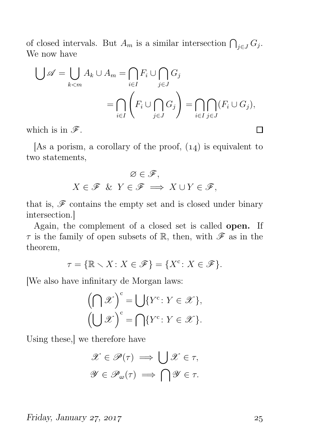of closed intervals. But  $A_m$  is a similar intersection  $\bigcap_{j\in J} G_j$ . We now have

$$
\bigcup \mathscr{A} = \bigcup_{k < m} A_k \cup A_m = \bigcap_{i \in I} F_i \cup \bigcap_{j \in J} G_j
$$
\n
$$
= \bigcap_{i \in I} \left( F_i \cup \bigcap_{j \in J} G_j \right) = \bigcap_{i \in I} \bigcap_{j \in J} (F_i \cup G_j),
$$
\nhich is in  $\mathscr{F}$ .

which is in  $\mathscr{F}$ .

[As a porism, a corollary of the proof,  $(14)$  is equivalent to two statements,

$$
\varnothing\in\mathscr{F},
$$
  

$$
X\in\mathscr{F}\ \&\ Y\in\mathscr{F}\implies X\cup Y\in\mathscr{F},
$$

that is,  $\mathscr F$  contains the empty set and is closed under binary intersection.]

Again, the complement of a closed set is called open. If  $\tau$  is the family of open subsets of R, then, with  $\mathscr F$  as in the theorem,

$$
\tau = \{ \mathbb{R} \setminus X \colon X \in \mathscr{F} \} = \{ X^c \colon X \in \mathscr{F} \}.
$$

[We also have infinitary de Morgan laws:

$$
\left(\bigcap \mathscr{X}\right)^c = \bigcup \{Y^c \colon Y \in \mathscr{X}\},\
$$

$$
\left(\bigcup \mathscr{X}\right)^c = \bigcap \{Y^c \colon Y \in \mathscr{X}\}.
$$

Using these,] we therefore have

$$
\mathscr{X} \in \mathscr{P}(\tau) \implies \bigcup \mathscr{X} \in \tau,
$$

$$
\mathscr{Y} \in \mathscr{P}_{\omega}(\tau) \implies \bigcap \mathscr{Y} \in \tau.
$$

Friday, January 27, 2017  $\qquad \qquad$  25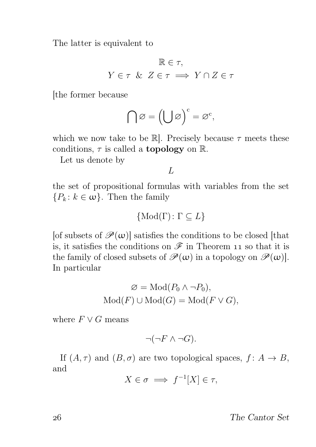The latter is equivalent to

$$
\mathbb{R} \in \tau,
$$
  

$$
Y \in \tau \& Z \in \tau \implies Y \cap Z \in \tau
$$

[the former because

$$
\bigcap\varnothing=\left(\bigcup\varnothing\right)^c=\varnothing^c,
$$

which we now take to be  $\mathbb{R}$ . Precisely because  $\tau$  meets these conditions,  $\tau$  is called a **topology** on  $\mathbb{R}$ .

Let us denote by

 $L$ 

the set of propositional formulas with variables from the set  ${P_k : k \in \omega}$ . Then the family

$$
\{\text{Mod}(\Gamma) \colon \Gamma \subseteq L\}
$$

[of subsets of  $\mathcal{P}(\omega)$ ] satisfies the conditions to be closed [that is, it satisfies the conditions on  $\mathscr F$  in Theorem 11 so that it is the family of closed subsets of  $\mathscr{P}(\omega)$  in a topology on  $\mathscr{P}(\omega)$ . In particular

$$
\varnothing = \text{Mod}(P_0 \land \neg P_0),
$$
  
 
$$
\text{Mod}(F) \cup \text{Mod}(G) = \text{Mod}(F \lor G),
$$

where  $F \vee G$  means

$$
\neg(\neg F \land \neg G).
$$

If  $(A, \tau)$  and  $(B, \sigma)$  are two topological spaces,  $f: A \to B$ , and

$$
X \in \sigma \implies f^{-1}[X] \in \tau,
$$

The Cantor Set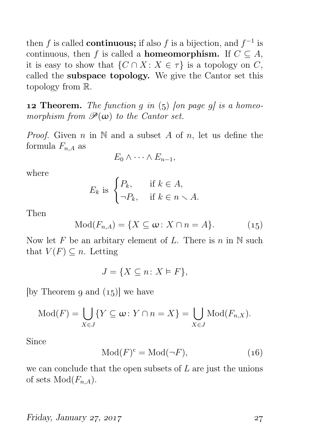then f is called **continuous**; if also f is a bijection, and  $f^{-1}$  is continuous, then f is called a **homeomorphism.** If  $C \subseteq A$ , it is easy to show that  $\{C \cap X : X \in \tau\}$  is a topology on C, called the subspace topology. We give the Cantor set this topology from R.

**12 Theorem.** The function g in  $(5)$  [on page g] is a homeomorphism from  $\mathscr{P}(\omega)$  to the Cantor set.

*Proof.* Given n in  $\mathbb N$  and a subset A of n, let us define the formula  $F_{n,A}$  as

$$
E_0 \wedge \cdots \wedge E_{n-1},
$$

where

$$
E_k \text{ is } \begin{cases} P_k, & \text{if } k \in A, \\ \neg P_k, & \text{if } k \in n \setminus A. \end{cases}
$$

Then

$$
Mod(F_{n,A}) = \{ X \subseteq \omega : X \cap n = A \}.
$$
 (15)

Now let F be an arbitary element of L. There is  $n$  in N such that  $V(F) \subseteq n$ . Letting

$$
J = \{ X \subseteq n \colon X \vDash F \},
$$

[by Theorem 9 and  $(15)$ ] we have

$$
Mod(F) = \bigcup_{X \in J} \{ Y \subseteq \omega : Y \cap n = X \} = \bigcup_{X \in J} Mod(F_{n,X}).
$$

Since

$$
Mod(F)^c = Mod(\neg F),\tag{16}
$$

we can conclude that the open subsets of  $L$  are just the unions of sets  $Mod(F_{n,A}).$ 

#### Friday, January 27, 2017  $\qquad \qquad$  27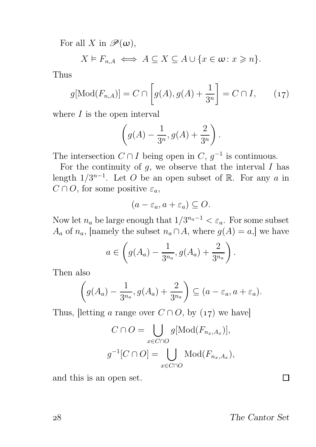For all X in  $\mathscr{P}(\omega)$ ,

 $X \models F_{nA} \iff A \subseteq X \subseteq A \cup \{x \in \omega : x \geq n\}.$ 

Thus

$$
g[\text{Mod}(F_{n,A})] = C \cap \left[g(A), g(A) + \frac{1}{3^n}\right] = C \cap I,
$$
 (17)

where  $I$  is the open interval

$$
\left(g(A) - \frac{1}{3^n}, g(A) + \frac{2}{3^n}\right).
$$

The intersection  $C \cap I$  being open in  $C, g^{-1}$  is continuous.

For the continuity of  $q$ , we observe that the interval  $I$  has length  $1/3^{n-1}$ . Let O be an open subset of R. For any a in  $C \cap O$ , for some positive  $\varepsilon_a$ ,

$$
(a-\varepsilon_a, a+\varepsilon_a) \subseteq O.
$$

Now let  $n_a$  be large enough that  $1/3^{n_a-1} < \varepsilon_a$ . For some subset  $A_a$  of  $n_a$ , [namely the subset  $n_a \cap A$ , where  $q(A) = a$ ,] we have

$$
a \in \left(g(A_a) - \frac{1}{3^{n_a}}, g(A_a) + \frac{2}{3^{n_a}}\right).
$$

Then also

$$
\left(g(A_a) - \frac{1}{3^{n_a}}, g(A_a) + \frac{2}{3^{n_a}}\right) \subseteq (a - \varepsilon_a, a + \varepsilon_a).
$$

Thus, [letting a range over  $C \cap O$ , by (17) we have]

$$
C \cap O = \bigcup_{x \in C \cap O} g[\text{Mod}(F_{n_x, A_x})],
$$

$$
g^{-1}[C \cap O] = \bigcup_{x \in C \cap O} \text{Mod}(F_{n_x, A_x}),
$$

and this is an open set.

The Cantor Set

Π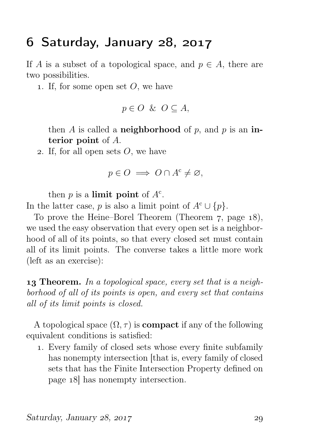### $6$  Saturday, January  $28$ ,  $2017$

If A is a subset of a topological space, and  $p \in A$ , there are two possibilities.

1. If, for some open set  $O$ , we have

$$
p \in O \ \& \ O \subseteq A,
$$

then A is called a **neighborhood** of p, and p is an interior point of A.

2. If, for all open sets  $O$ , we have

$$
p \in O \implies O \cap A^c \neq \varnothing,
$$

then  $p$  is a **limit point** of  $A<sup>c</sup>$ .

In the latter case, p is also a limit point of  $A^c \cup \{p\}.$ 

To prove the Heine–Borel Theorem (Theorem  $7$ , page  $18$ ), we used the easy observation that every open set is a neighborhood of all of its points, so that every closed set must contain all of its limit points. The converse takes a little more work (left as an exercise):

**13 Theorem.** In a topological space, every set that is a neighborhood of all of its points is open, and every set that contains all of its limit points is closed.

A topological space  $(\Omega, \tau)$  is **compact** if any of the following equivalent conditions is satisfied:

. Every family of closed sets whose every finite subfamily has nonempty intersection [that is, every family of closed sets that has the Finite Intersection Property defined on page  $18$  has nonempty intersection.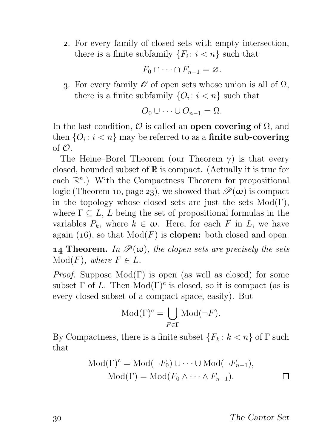. For every family of closed sets with empty intersection, there is a finite subfamily  $\{F_i: i < n\}$  such that

$$
F_0 \cap \cdots \cap F_{n-1} = \varnothing.
$$

3. For every family  $\mathscr O$  of open sets whose union is all of  $\Omega$ , there is a finite subfamily  $\{O_i: i < n\}$  such that

$$
O_0 \cup \cdots \cup O_{n-1} = \Omega.
$$

In the last condition,  $\mathcal O$  is called an open covering of  $\Omega$ , and then  $\{O_i\colon i < n\}$  may be referred to as a **finite sub-covering** of  $\mathcal{O}$ .

The Heine–Borel Theorem (our Theorem  $7$ ) is that every closed, bounded subset of  $\mathbb R$  is compact. (Actually it is true for each  $\mathbb{R}^n$ .) With the Compactness Theorem for propositional logic (Theorem 10, page 23), we showed that  $\mathscr{P}(\omega)$  is compact in the topology whose closed sets are just the sets  $Mod(Γ)$ , where  $\Gamma \subseteq L$ , L being the set of propositional formulas in the variables  $P_k$ , where  $k \in \omega$ . Here, for each F in L, we have again (16), so that  $Mod(F)$  is **clopen:** both closed and open.

**14 Theorem.** In  $\mathcal{P}(\omega)$ , the clopen sets are precisely the sets  $Mod(F)$ , where  $F \in L$ .

*Proof.* Suppose  $Mod(\Gamma)$  is open (as well as closed) for some subset  $\Gamma$  of L. Then  $Mod(\Gamma)^c$  is closed, so it is compact (as is every closed subset of a compact space, easily). But

$$
\operatorname{Mod}(\Gamma)^c = \bigcup_{F \in \Gamma} \operatorname{Mod}(\neg F).
$$

By Compactness, there is a finite subset  ${F_k: k < n}$  of  $\Gamma$  such that

$$
Mod(\Gamma)^{c} = Mod(\neg F_0) \cup \dots \cup Mod(\neg F_{n-1}),
$$
  
Mod(\Gamma) = Mod(F\_0 \land \dots \land F\_{n-1}).

The Cantor Set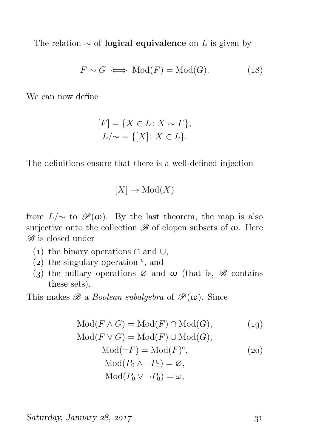The relation  $\sim$  of **logical equivalence** on L is given by

$$
F \sim G \iff \text{Mod}(F) = \text{Mod}(G). \tag{18}
$$

We can now define

$$
[F] = \{ X \in L : X \sim F \},
$$
  

$$
L/\sim = \{ [X] : X \in L \}.
$$

The definitions ensure that there is a well-defined injection

$$
[X] \mapsto \mathrm{Mod}(X)
$$

from  $L/\sim$  to  $\mathscr{P}(\omega)$ . By the last theorem, the map is also surjective onto the collection  $\mathscr B$  of clopen subsets of  $\omega$ . Here  $\mathscr{B}$  is closed under

- (1) the binary operations  $\cap$  and  $\cup$ ,
- (2) the singulary operation  $\degree$ , and
- (3) the nullary operations  $\varnothing$  and  $\omega$  (that is,  $\mathscr B$  contains these sets).

This makes  $\mathscr{B}$  a *Boolean subalgebra* of  $\mathscr{P}(\omega)$ . Since

$$
Mod(F \wedge G) = Mod(F) \cap Mod(G),
$$
\n
$$
Mod(F \vee G) = Mod(F) \cup Mod(G),
$$
\n
$$
Mod(\neg F) = Mod(F)^{c},
$$
\n
$$
Mod(P_0 \wedge \neg P_0) = \varnothing,
$$
\n
$$
Mod(P_0 \vee \neg P_0) = \omega,
$$
\n
$$
(20)
$$

 $Saturday, January 28, 2017$   $31$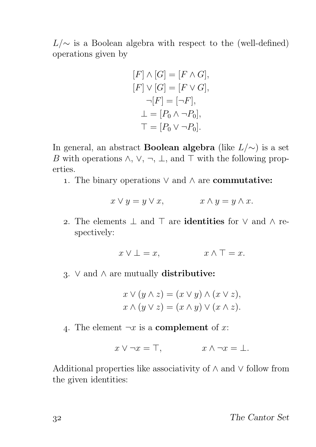$L/\sim$  is a Boolean algebra with respect to the (well-defined) operations given by

$$
[F] \wedge [G] = [F \wedge G],
$$
  
\n
$$
[F] \vee [G] = [F \vee G],
$$
  
\n
$$
\neg [F] = [\neg F],
$$
  
\n
$$
\bot = [P_0 \wedge \neg P_0],
$$
  
\n
$$
\top = [P_0 \vee \neg P_0].
$$

In general, an abstract **Boolean algebra** (like  $L/\sim$ ) is a set B with operations  $\wedge$ ,  $\vee$ ,  $\neg$ ,  $\perp$ , and  $\top$  with the following properties.

1. The binary operations  $\vee$  and  $\wedge$  are **commutative:** 

$$
x \lor y = y \lor x, \qquad x \land y = y \land x.
$$

2. The elements  $\perp$  and  $\top$  are **identities** for  $\vee$  and  $\wedge$  respectively:

$$
x \vee \bot = x, \qquad x \wedge \top = x.
$$

3. ∨ and  $\land$  are mutually distributive:

$$
x \vee (y \wedge z) = (x \vee y) \wedge (x \vee z),
$$
  

$$
x \wedge (y \vee z) = (x \wedge y) \vee (x \wedge z).
$$

4. The element  $\neg x$  is a **complement** of x:

$$
x \vee \neg x = \top, \qquad x \wedge \neg x = \bot.
$$

Additional properties like associativity of ∧ and ∨ follow from the given identities: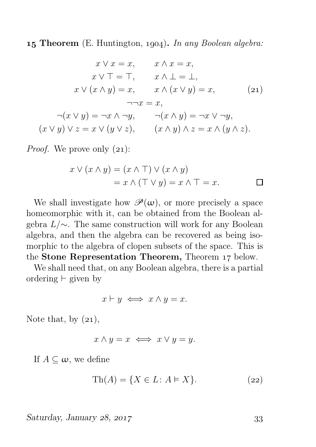**15 Theorem** (E. Huntington, 1904). In any Boolean algebra:

$$
x \lor x = x, \qquad x \land x = x,
$$
  
\n
$$
x \lor \top = \top, \qquad x \land \bot = \bot,
$$
  
\n
$$
x \lor (x \land y) = x, \qquad x \land (x \lor y) = x,
$$
  
\n
$$
\neg\neg x = x,
$$
  
\n
$$
\neg(x \lor y) = \neg x \land \neg y, \qquad \neg(x \land y) = \neg x \lor \neg y,
$$
  
\n
$$
(x \lor y) \lor z = x \lor (y \lor z), \qquad (x \land y) \land z = x \land (y \land z).
$$

*Proof.* We prove only  $(21)$ :

$$
x \lor (x \land y) = (x \land \top) \lor (x \land y)
$$
  
=  $x \land (\top \lor y) = x \land \top = x.$ 

We shall investigate how  $\mathscr{P}(\omega)$ , or more precisely a space homeomorphic with it, can be obtained from the Boolean algebra L/∼. The same construction will work for any Boolean algebra, and then the algebra can be recovered as being isomorphic to the algebra of clopen subsets of the space. This is the Stone Representation Theorem, Theorem 17 below.

We shall need that, on any Boolean algebra, there is a partial ordering  $⊢$  given by

$$
x \vdash y \iff x \land y = x.
$$

Note that, by  $(21)$ ,

$$
x \wedge y = x \iff x \vee y = y.
$$

If  $A \subseteq \omega$ , we define

$$
Th(A) = \{ X \in L : A \models X \}. \tag{22}
$$

 $Saturday, January 28, 2017$  33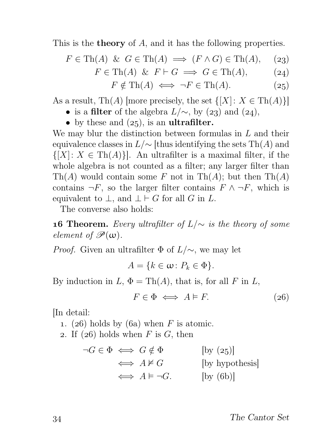This is the **theory** of A, and it has the following properties.

$$
F \in \text{Th}(A) \And G \in \text{Th}(A) \implies (F \land G) \in \text{Th}(A), \quad (23)
$$

$$
F \in \text{Th}(A) \& F \vdash G \implies G \in \text{Th}(A), \tag{24}
$$

$$
F \notin \text{Th}(A) \iff \neg F \in \text{Th}(A). \tag{25}
$$

As a result, Th(A) [more precisely, the set  $\{[X]: X \in \text{Th}(A)\}\$ 

- is a filter of the algebra  $L/\sim$ , by (23) and (24),
- by these and  $(25)$ , is an **ultrafilter**.

We may blur the distinction between formulas in  $L$  and their equivalence classes in  $L/\sim$  [thus identifying the sets Th(A) and  $\{[X]: X \in \text{Th}(A)\}\$ . An ultrafilter is a maximal filter, if the whole algebra is not counted as a filter; any larger filter than Th(A) would contain some F not in Th(A); but then Th(A) contains  $\neg F$ , so the larger filter contains  $F \wedge \neg F$ , which is equivalent to  $\bot$ , and  $\bot \vdash G$  for all G in L.

The converse also holds:

**16 Theorem.** Every ultrafilter of  $L/\sim$  is the theory of some element of  $\mathscr{P}(\omega)$ .

*Proof.* Given an ultrafilter  $\Phi$  of  $L/\sim$ , we may let

 $A = \{k \in \omega : P_k \in \Phi\}.$ 

By induction in  $L, \Phi = \text{Th}(A)$ , that is, for all F in L,

$$
F \in \Phi \iff A \models F. \tag{26}
$$

[In detail:

- 1. (26) holds by (6a) when F is atomic.
- 2. If  $(26)$  holds when F is G, then

 $\neg G \in \Phi \iff G \notin \Phi$  [by (25)]  $\Leftrightarrow$   $A \not\models G$  [by hypothesis]  $\Leftrightarrow$   $A \models \neg G$ . [by (6b)]

The Cantor Set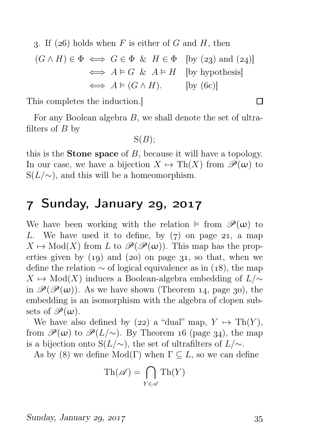3. If (26) holds when F is either of G and H, then

$$
(G \land H) \in \Phi \iff G \in \Phi \& H \in \Phi \quad \text{[by (23) and (24)]}
$$

$$
\iff A \models G \& A \models H \quad \text{[by hypothesis]}
$$

$$
\iff A \models (G \land H). \qquad \text{[by (6c)]}
$$

This completes the induction.]

For any Boolean algebra B, we shall denote the set of ultrafilters of  $B$  by

 $S(B)$ ;

this is the **Stone space** of  $B$ , because it will have a topology. In our case, we have a bijection  $X \mapsto \text{Th}(X)$  from  $\mathscr{P}(\omega)$  to  $S(L/\sim)$ , and this will be a homeomorphism.

### 7 Sunday, January 29, 2017

We have been working with the relation  $\models$  from  $\mathscr{P}(\omega)$  to L. We have used it to define, by  $(7)$  on page 21, a map  $X \mapsto Mod(X)$  from L to  $\mathscr{P}(\mathscr{P}(\omega))$ . This map has the properties given by  $(19)$  and  $(20)$  on page 31, so that, when we define the relation  $\sim$  of logical equivalence as in (18), the map  $X \mapsto Mod(X)$  induces a Boolean-algebra embedding of  $L/\sim$ in  $\mathscr{P}(\mathscr{P}(\omega))$ . As we have shown (Theorem 14, page 30), the embedding is an isomorphism with the algebra of clopen subsets of  $\mathscr{P}(\omega)$ .

We have also defined by (22) a "dual" map,  $Y \mapsto \text{Th}(Y)$ , from  $\mathscr{P}(\omega)$  to  $\mathscr{P}(L/\sim)$ . By Theorem 16 (page 34), the map is a bijection onto S( $L/\sim$ ), the set of ultrafilters of  $L/\sim$ .

As by (8) we define  $Mod(\Gamma)$  when  $\Gamma \subseteq L$ , so we can define

$$
\mathrm{Th}(\mathscr{A}) = \bigcap_{Y \in \mathscr{A}} \mathrm{Th}(Y)
$$

 $\Box$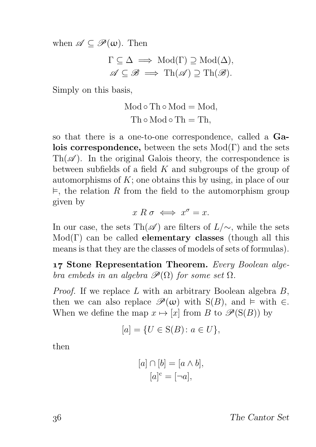when  $\mathscr{A} \subseteq \mathscr{P}(\omega)$ . Then

$$
\Gamma \subseteq \Delta \implies \text{Mod}(\Gamma) \supseteq \text{Mod}(\Delta),
$$
  

$$
\mathscr{A} \subseteq \mathscr{B} \implies \text{Th}(\mathscr{A}) \supseteq \text{Th}(\mathscr{B}).
$$

Simply on this basis,

$$
Mod \circ Th \circ Mod = Mod,
$$
  

$$
Th \circ Mod \circ Th = Th,
$$

so that there is a one-to-one correspondence, called a Galois correspondence, between the sets  $Mod(Γ)$  and the sets  $\text{Th}(\mathscr{A})$ . In the original Galois theory, the correspondence is between subfields of a field  $K$  and subgroups of the group of automorphisms of  $K$ ; one obtains this by using, in place of our  $\vDash$ , the relation R from the field to the automorphism group given by

 $x R \sigma \iff x^{\sigma} = x.$ 

In our case, the sets Th( $\mathscr A$ ) are filters of  $L/\sim$ , while the sets  $Mod(Γ)$  can be called **elementary classes** (though all this means is that they are the classes of models of sets of formulas).

17 Stone Representation Theorem. Every Boolean algebra embeds in an algebra  $\mathscr{P}(\Omega)$  for some set  $\Omega$ .

*Proof.* If we replace  $L$  with an arbitrary Boolean algebra  $B$ , then we can also replace  $\mathscr{P}(\omega)$  with S(B), and  $\models$  with  $\in$ . When we define the map  $x \mapsto [x]$  from B to  $\mathscr{P}(S(B))$  by

$$
[a] = \{ U \in S(B) \colon a \in U \},\
$$

then

$$
[a] \cap [b] = [a \wedge b],
$$

$$
[a]^{c} = [\neg a],
$$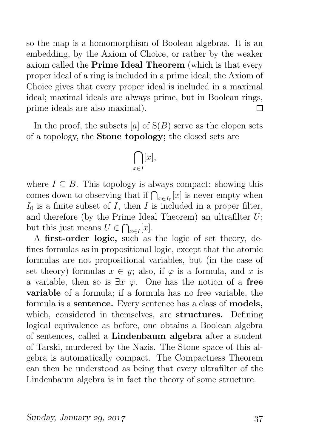so the map is a homomorphism of Boolean algebras. It is an embedding, by the Axiom of Choice, or rather by the weaker axiom called the Prime Ideal Theorem (which is that every proper ideal of a ring is included in a prime ideal; the Axiom of Choice gives that every proper ideal is included in a maximal ideal; maximal ideals are always prime, but in Boolean rings, prime ideals are also maximal). П

In the proof, the subsets [a] of  $S(B)$  serve as the clopen sets of a topology, the Stone topology; the closed sets are

$$
\bigcap_{x\in I}[x],
$$

where  $I \subseteq B$ . This topology is always compact: showing this comes down to observing that if  $\bigcap_{x\in I_0}[x]$  is never empty when  $I_0$  is a finite subset of  $I$ , then  $I$  is included in a proper filter, and therefore (by the Prime Ideal Theorem) an ultrafilter  $U$ ; but this just means  $U \in \bigcap_{x \in I}[x]$ .

A first-order logic, such as the logic of set theory, defines formulas as in propositional logic, except that the atomic formulas are not propositional variables, but (in the case of set theory) formulas  $x \in y$ ; also, if  $\varphi$  is a formula, and x is a variable, then so is  $\exists x \varphi$ . One has the notion of a free variable of a formula; if a formula has no free variable, the formula is a sentence. Every sentence has a class of models, which, considered in themselves, are **structures.** Defining logical equivalence as before, one obtains a Boolean algebra of sentences, called a Lindenbaum algebra after a student of Tarski, murdered by the Nazis. The Stone space of this algebra is automatically compact. The Compactness Theorem can then be understood as being that every ultrafilter of the Lindenbaum algebra is in fact the theory of some structure.